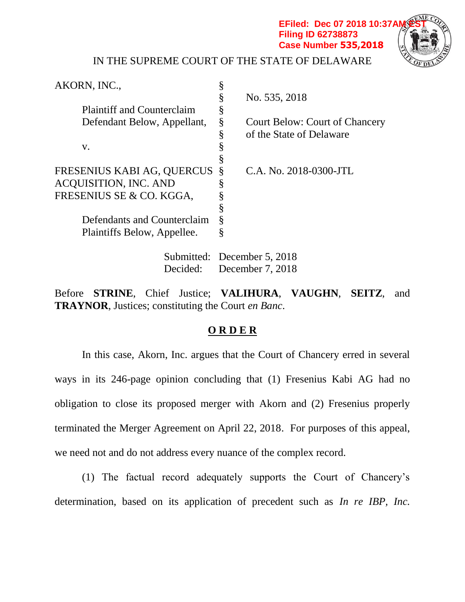**Filing ID 62738873 Case Number 535,2018**



IN THE SUPREME COURT OF THE STATE OF DELAWARE

| AKORN, INC.,                      |   |                                       |
|-----------------------------------|---|---------------------------------------|
|                                   |   | No. 535, 2018                         |
| <b>Plaintiff and Counterclaim</b> |   |                                       |
| Defendant Below, Appellant,       | § | <b>Court Below: Court of Chancery</b> |
|                                   | ş | of the State of Delaware              |
| V.                                |   |                                       |
|                                   |   |                                       |
| FRESENIUS KABI AG, QUERCUS        | Ş | C.A. No. 2018-0300-JTL                |
| <b>ACQUISITION, INC. AND</b>      |   |                                       |
| FRESENIUS SE & CO. KGGA,          |   |                                       |
|                                   |   |                                       |
| Defendants and Counterclaim       | § |                                       |
| Plaintiffs Below, Appellee.       |   |                                       |
|                                   |   |                                       |

Submitted: December 5, 2018 Decided: December 7, 2018

Before **STRINE**, Chief Justice; **VALIHURA**, **VAUGHN**, **SEITZ**, and **TRAYNOR**, Justices; constituting the Court *en Banc*.

## **O R D E R**

In this case, Akorn, Inc. argues that the Court of Chancery erred in several ways in its 246-page opinion concluding that (1) Fresenius Kabi AG had no obligation to close its proposed merger with Akorn and (2) Fresenius properly terminated the Merger Agreement on April 22, 2018. For purposes of this appeal, we need not and do not address every nuance of the complex record.

(1) The factual record adequately supports the Court of Chancery's determination, based on its application of precedent such as *In re IBP, Inc.*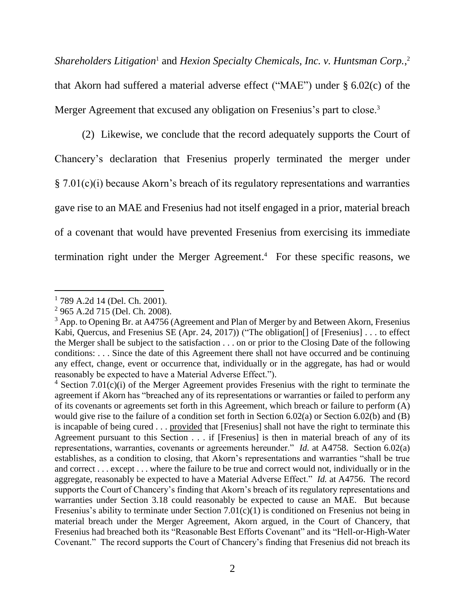*Shareholders Litigation*<sup>1</sup> and *Hexion Specialty Chemicals, Inc. v. Huntsman Corp.*, 2 that Akorn had suffered a material adverse effect ("MAE") under § 6.02(c) of the Merger Agreement that excused any obligation on Fresenius's part to close.<sup>3</sup>

(2) Likewise, we conclude that the record adequately supports the Court of Chancery's declaration that Fresenius properly terminated the merger under § 7.01(c)(i) because Akorn's breach of its regulatory representations and warranties gave rise to an MAE and Fresenius had not itself engaged in a prior, material breach of a covenant that would have prevented Fresenius from exercising its immediate termination right under the Merger Agreement. <sup>4</sup> For these specific reasons, we

l 1 789 A.2d 14 (Del. Ch. 2001).

<sup>&</sup>lt;sup>2</sup> 965 A.2d 715 (Del. Ch. 2008).

 $3$  App. to Opening Br. at A4756 (Agreement and Plan of Merger by and Between Akorn, Fresenius Kabi, Quercus, and Fresenius SE (Apr. 24, 2017)) ("The obligation[] of [Fresenius] . . . to effect the Merger shall be subject to the satisfaction . . . on or prior to the Closing Date of the following conditions: . . . Since the date of this Agreement there shall not have occurred and be continuing any effect, change, event or occurrence that, individually or in the aggregate, has had or would reasonably be expected to have a Material Adverse Effect.").

<sup>&</sup>lt;sup>4</sup> Section 7.01(c)(i) of the Merger Agreement provides Fresenius with the right to terminate the agreement if Akorn has "breached any of its representations or warranties or failed to perform any of its covenants or agreements set forth in this Agreement, which breach or failure to perform (A) would give rise to the failure of a condition set forth in Section 6.02(a) or Section 6.02(b) and (B) is incapable of being cured . . . provided that [Fresenius] shall not have the right to terminate this Agreement pursuant to this Section . . . if [Fresenius] is then in material breach of any of its representations, warranties, covenants or agreements hereunder." *Id.* at A4758. Section 6.02(a) establishes, as a condition to closing, that Akorn's representations and warranties "shall be true and correct . . . except . . . where the failure to be true and correct would not, individually or in the aggregate, reasonably be expected to have a Material Adverse Effect." *Id.* at A4756. The record supports the Court of Chancery's finding that Akorn's breach of its regulatory representations and warranties under Section 3.18 could reasonably be expected to cause an MAE. But because Fresenius's ability to terminate under Section 7.01(c)(1) is conditioned on Fresenius not being in material breach under the Merger Agreement, Akorn argued, in the Court of Chancery, that Fresenius had breached both its "Reasonable Best Efforts Covenant" and its "Hell-or-High-Water Covenant." The record supports the Court of Chancery's finding that Fresenius did not breach its